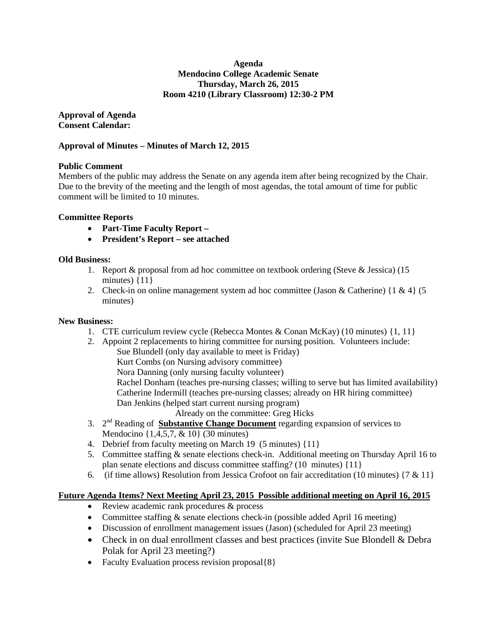### **Agenda Mendocino College Academic Senate Thursday, March 26, 2015 Room 4210 (Library Classroom) 12:30-2 PM**

**Approval of Agenda Consent Calendar:**

### **Approval of Minutes – Minutes of March 12, 2015**

### **Public Comment**

Members of the public may address the Senate on any agenda item after being recognized by the Chair. Due to the brevity of the meeting and the length of most agendas, the total amount of time for public comment will be limited to 10 minutes.

### **Committee Reports**

- **Part-Time Faculty Report –**
- **President's Report – see attached**

### **Old Business:**

- 1. Report & proposal from ad hoc committee on textbook ordering (Steve & Jessica) (15 minutes)  $\{11\}$
- 2. Check-in on online management system ad hoc committee (Jason & Catherine)  $\{1 \& 4\}$  (5 minutes)

### **New Business:**

- 1. CTE curriculum review cycle (Rebecca Montes & Conan McKay) (10 minutes) {1, 11}
- 2. Appoint 2 replacements to hiring committee for nursing position. Volunteers include: Sue Blundell (only day available to meet is Friday) Kurt Combs (on Nursing advisory committee) Nora Danning (only nursing faculty volunteer) Rachel Donham (teaches pre-nursing classes; willing to serve but has limited availability) Catherine Indermill (teaches pre-nursing classes; already on HR hiring committee) Dan Jenkins (helped start current nursing program) Already on the committee: Greg Hicks 3. 2<sup>nd</sup> Reading of **Substantive Change Document** regarding expansion of services to
- Mendocino {1,4,5,7, & 10} (30 minutes)
- 4. Debrief from faculty meeting on March 19 (5 minutes) {11}
- 5. Committee staffing & senate elections check-in. Additional meeting on Thursday April 16 to plan senate elections and discuss committee staffing? (10 minutes) {11}
- 6. (if time allows) Resolution from Jessica Crofoot on fair accreditation (10 minutes)  $\{7 & 11\}$

### **Future Agenda Items? Next Meeting April 23, 2015 Possible additional meeting on April 16, 2015**

- Review academic rank procedures & process
- Committee staffing & senate elections check-in (possible added April 16 meeting)
- Discussion of enrollment management issues (Jason) (scheduled for April 23 meeting)
- Check in on dual enrollment classes and best practices (invite Sue Blondell & Debra Polak for April 23 meeting?)
- Faculty Evaluation process revision proposal {8}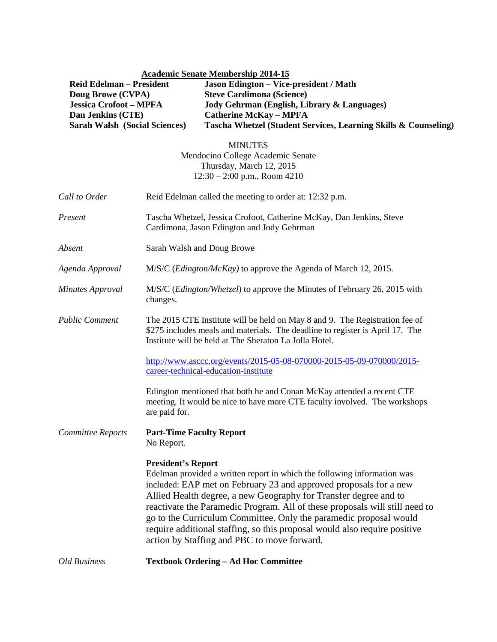# **Academic Senate Membership 2014-15**

| <b>Reid Edelman – President</b>      | <b>Jason Edington – Vice-president / Math</b>                   |
|--------------------------------------|-----------------------------------------------------------------|
| Doug Browe (CVPA)                    | <b>Steve Cardimona (Science)</b>                                |
| <b>Jessica Crofoot – MPFA</b>        | Jody Gehrman (English, Library & Languages)                     |
| Dan Jenkins (CTE)                    | <b>Catherine McKay – MPFA</b>                                   |
| <b>Sarah Walsh (Social Sciences)</b> | Tascha Whetzel (Student Services, Learning Skills & Counseling) |

MINUTES Mendocino College Academic Senate Thursday, March 12, 2015 12:30 – 2:00 p.m., Room 4210

| Call to Order            | Reid Edelman called the meeting to order at: 12:32 p.m.                                                                                                                                                                                                                                                                                                                                                                                                                                                                        |
|--------------------------|--------------------------------------------------------------------------------------------------------------------------------------------------------------------------------------------------------------------------------------------------------------------------------------------------------------------------------------------------------------------------------------------------------------------------------------------------------------------------------------------------------------------------------|
| Present                  | Tascha Whetzel, Jessica Crofoot, Catherine McKay, Dan Jenkins, Steve<br>Cardimona, Jason Edington and Jody Gehrman                                                                                                                                                                                                                                                                                                                                                                                                             |
| Absent                   | Sarah Walsh and Doug Browe                                                                                                                                                                                                                                                                                                                                                                                                                                                                                                     |
| Agenda Approval          | M/S/C ( <i>Edington/McKay</i> ) to approve the Agenda of March 12, 2015.                                                                                                                                                                                                                                                                                                                                                                                                                                                       |
| <b>Minutes Approval</b>  | M/S/C (Edington/Whetzel) to approve the Minutes of February 26, 2015 with<br>changes.                                                                                                                                                                                                                                                                                                                                                                                                                                          |
| <b>Public Comment</b>    | The 2015 CTE Institute will be held on May 8 and 9. The Registration fee of<br>\$275 includes meals and materials. The deadline to register is April 17. The<br>Institute will be held at The Sheraton La Jolla Hotel.                                                                                                                                                                                                                                                                                                         |
|                          | http://www.asccc.org/events/2015-05-08-070000-2015-05-09-070000/2015-<br>career-technical-education-institute                                                                                                                                                                                                                                                                                                                                                                                                                  |
|                          | Edington mentioned that both he and Conan McKay attended a recent CTE<br>meeting. It would be nice to have more CTE faculty involved. The workshops<br>are paid for.                                                                                                                                                                                                                                                                                                                                                           |
| <b>Committee Reports</b> | <b>Part-Time Faculty Report</b><br>No Report.                                                                                                                                                                                                                                                                                                                                                                                                                                                                                  |
|                          | <b>President's Report</b><br>Edelman provided a written report in which the following information was<br>included: EAP met on February 23 and approved proposals for a new<br>Allied Health degree, a new Geography for Transfer degree and to<br>reactivate the Paramedic Program. All of these proposals will still need to<br>go to the Curriculum Committee. Only the paramedic proposal would<br>require additional staffing, so this proposal would also require positive<br>action by Staffing and PBC to move forward. |
| <b>Old Business</b>      | <b>Textbook Ordering - Ad Hoc Committee</b>                                                                                                                                                                                                                                                                                                                                                                                                                                                                                    |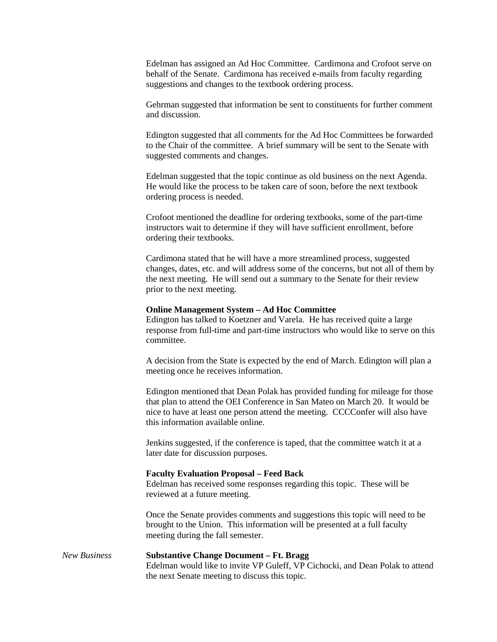Edelman has assigned an Ad Hoc Committee. Cardimona and Crofoot serve on behalf of the Senate. Cardimona has received e-mails from faculty regarding suggestions and changes to the textbook ordering process.

Gehrman suggested that information be sent to constituents for further comment and discussion.

Edington suggested that all comments for the Ad Hoc Committees be forwarded to the Chair of the committee. A brief summary will be sent to the Senate with suggested comments and changes.

Edelman suggested that the topic continue as old business on the next Agenda. He would like the process to be taken care of soon, before the next textbook ordering process is needed.

Crofoot mentioned the deadline for ordering textbooks, some of the part-time instructors wait to determine if they will have sufficient enrollment, before ordering their textbooks.

Cardimona stated that he will have a more streamlined process, suggested changes, dates, etc. and will address some of the concerns, but not all of them by the next meeting. He will send out a summary to the Senate for their review prior to the next meeting.

#### **Online Management System – Ad Hoc Committee**

Edington has talked to Koetzner and Varela. He has received quite a large response from full-time and part-time instructors who would like to serve on this committee.

A decision from the State is expected by the end of March. Edington will plan a meeting once he receives information.

Edington mentioned that Dean Polak has provided funding for mileage for those that plan to attend the OEI Conference in San Mateo on March 20. It would be nice to have at least one person attend the meeting. CCCConfer will also have this information available online.

Jenkins suggested, if the conference is taped, that the committee watch it at a later date for discussion purposes.

### **Faculty Evaluation Proposal – Feed Back**

Edelman has received some responses regarding this topic. These will be reviewed at a future meeting.

Once the Senate provides comments and suggestions this topic will need to be brought to the Union. This information will be presented at a full faculty meeting during the fall semester.

### *New Business* **Substantive Change Document – Ft. Bragg**

Edelman would like to invite VP Guleff, VP Cichocki, and Dean Polak to attend the next Senate meeting to discuss this topic.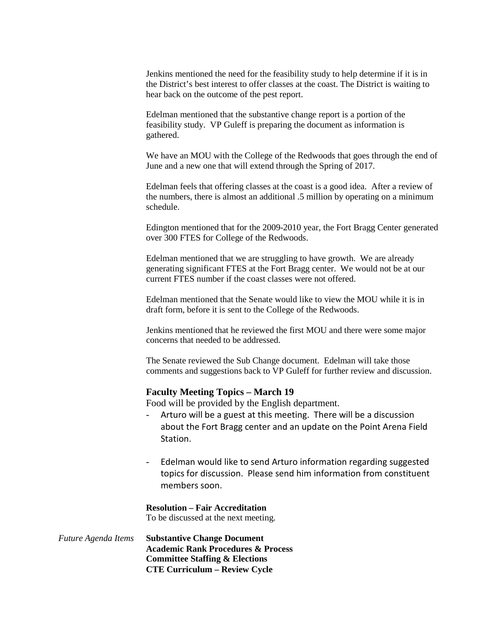Jenkins mentioned the need for the feasibility study to help determine if it is in the District's best interest to offer classes at the coast. The District is waiting to hear back on the outcome of the pest report.

Edelman mentioned that the substantive change report is a portion of the feasibility study. VP Guleff is preparing the document as information is gathered.

We have an MOU with the College of the Redwoods that goes through the end of June and a new one that will extend through the Spring of 2017.

Edelman feels that offering classes at the coast is a good idea. After a review of the numbers, there is almost an additional .5 million by operating on a minimum schedule.

Edington mentioned that for the 2009-2010 year, the Fort Bragg Center generated over 300 FTES for College of the Redwoods.

Edelman mentioned that we are struggling to have growth. We are already generating significant FTES at the Fort Bragg center. We would not be at our current FTES number if the coast classes were not offered.

Edelman mentioned that the Senate would like to view the MOU while it is in draft form, before it is sent to the College of the Redwoods.

Jenkins mentioned that he reviewed the first MOU and there were some major concerns that needed to be addressed.

The Senate reviewed the Sub Change document. Edelman will take those comments and suggestions back to VP Guleff for further review and discussion.

### **Faculty Meeting Topics – March 19**

Food will be provided by the English department.

- Arturo will be a guest at this meeting. There will be a discussion about the Fort Bragg center and an update on the Point Arena Field Station.
- Edelman would like to send Arturo information regarding suggested topics for discussion. Please send him information from constituent members soon.

**Resolution – Fair Accreditation** To be discussed at the next meeting.

*Future Agenda Items* **Substantive Change Document Academic Rank Procedures & Process Committee Staffing & Elections CTE Curriculum – Review Cycle**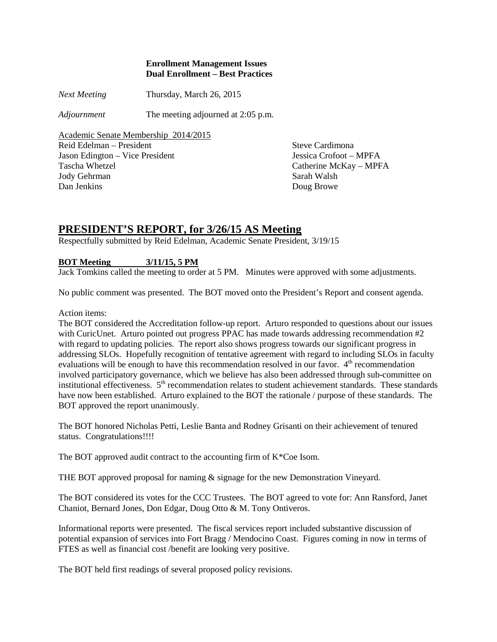### **Enrollment Management Issues Dual Enrollment – Best Practices**

*Next Meeting* Thursday, March 26, 2015

*Adjournment* The meeting adjourned at 2:05 p.m.

Academic Senate Membership 2014/2015 Reid Edelman – President Steve Cardimona Jason Edington – Vice President Jessica Crofoot – MPFA Tascha Whetzel Catherine McKay – MPFA Jody Gehrman Sarah Walsh Dan Jenkins Doug Browe

# **PRESIDENT'S REPORT, for 3/26/15 AS Meeting**

Respectfully submitted by Reid Edelman, Academic Senate President, 3/19/15

## **BOT Meeting 3/11/15, 5 PM**

Jack Tomkins called the meeting to order at 5 PM. Minutes were approved with some adjustments.

No public comment was presented. The BOT moved onto the President's Report and consent agenda.

Action items:

The BOT considered the Accreditation follow-up report. Arturo responded to questions about our issues with CuricUnet. Arturo pointed out progress PPAC has made towards addressing recommendation #2 with regard to updating policies. The report also shows progress towards our significant progress in addressing SLOs. Hopefully recognition of tentative agreement with regard to including SLOs in faculty evaluations will be enough to have this recommendation resolved in our favor.  $4<sup>th</sup>$  recommendation involved participatory governance, which we believe has also been addressed through sub-committee on institutional effectiveness. 5<sup>th</sup> recommendation relates to student achievement standards. These standards have now been established. Arturo explained to the BOT the rationale / purpose of these standards. The BOT approved the report unanimously.

The BOT honored Nicholas Petti, Leslie Banta and Rodney Grisanti on their achievement of tenured status. Congratulations!!!!

The BOT approved audit contract to the accounting firm of K\*Coe Isom.

THE BOT approved proposal for naming & signage for the new Demonstration Vineyard.

The BOT considered its votes for the CCC Trustees. The BOT agreed to vote for: Ann Ransford, Janet Chaniot, Bernard Jones, Don Edgar, Doug Otto & M. Tony Ontiveros.

Informational reports were presented. The fiscal services report included substantive discussion of potential expansion of services into Fort Bragg / Mendocino Coast. Figures coming in now in terms of FTES as well as financial cost /benefit are looking very positive.

The BOT held first readings of several proposed policy revisions.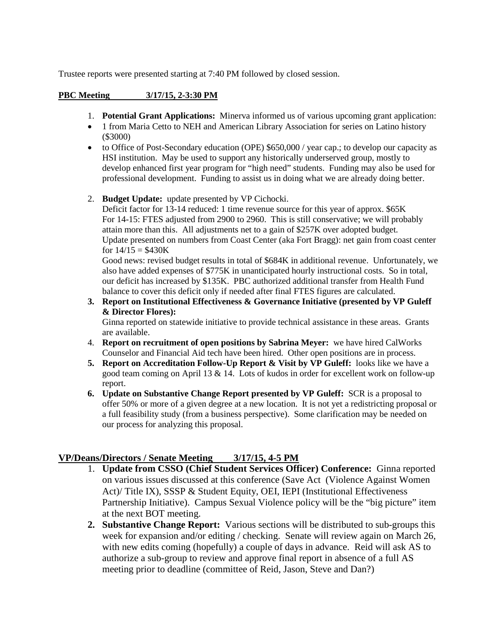Trustee reports were presented starting at 7:40 PM followed by closed session.

## **PBC Meeting 3/17/15, 2-3:30 PM**

- 1. **Potential Grant Applications:** Minerva informed us of various upcoming grant application:
- 1 from Maria Cetto to NEH and American Library Association for series on Latino history (\$3000)
- to Office of Post-Secondary education (OPE) \$650,000 / year cap.; to develop our capacity as HSI institution. May be used to support any historically underserved group, mostly to develop enhanced first year program for "high need" students. Funding may also be used for professional development. Funding to assist us in doing what we are already doing better.
- 2. **Budget Update:** update presented by VP Cichocki.

Deficit factor for 13-14 reduced: 1 time revenue source for this year of approx. \$65K For 14-15: FTES adjusted from 2900 to 2960. This is still conservative; we will probably attain more than this. All adjustments net to a gain of \$257K over adopted budget. Update presented on numbers from Coast Center (aka Fort Bragg): net gain from coast center for  $14/15 = $430K$ 

Good news: revised budget results in total of \$684K in additional revenue. Unfortunately, we also have added expenses of \$775K in unanticipated hourly instructional costs. So in total, our deficit has increased by \$135K. PBC authorized additional transfer from Health Fund balance to cover this deficit only if needed after final FTES figures are calculated.

**3. Report on Institutional Effectiveness & Governance Initiative (presented by VP Guleff & Director Flores):** 

Ginna reported on statewide initiative to provide technical assistance in these areas. Grants are available.

- 4. **Report on recruitment of open positions by Sabrina Meyer:** we have hired CalWorks Counselor and Financial Aid tech have been hired. Other open positions are in process.
- **5. Report on Accreditation Follow-Up Report & Visit by VP Guleff:** looks like we have a good team coming on April 13 & 14. Lots of kudos in order for excellent work on follow-up report.
- **6. Update on Substantive Change Report presented by VP Guleff:** SCR is a proposal to offer 50% or more of a given degree at a new location. It is not yet a redistricting proposal or a full feasibility study (from a business perspective). Some clarification may be needed on our process for analyzing this proposal.

# **VP/Deans/Directors / Senate Meeting 3/17/15, 4-5 PM**

- 1. **Update from CSSO (Chief Student Services Officer) Conference:** Ginna reported on various issues discussed at this conference (Save Act (Violence Against Women Act)/ Title IX), SSSP & Student Equity, OEI, IEPI (Institutional Effectiveness Partnership Initiative). Campus Sexual Violence policy will be the "big picture" item at the next BOT meeting.
- **2. Substantive Change Report:** Various sections will be distributed to sub-groups this week for expansion and/or editing / checking. Senate will review again on March 26, with new edits coming (hopefully) a couple of days in advance. Reid will ask AS to authorize a sub-group to review and approve final report in absence of a full AS meeting prior to deadline (committee of Reid, Jason, Steve and Dan?)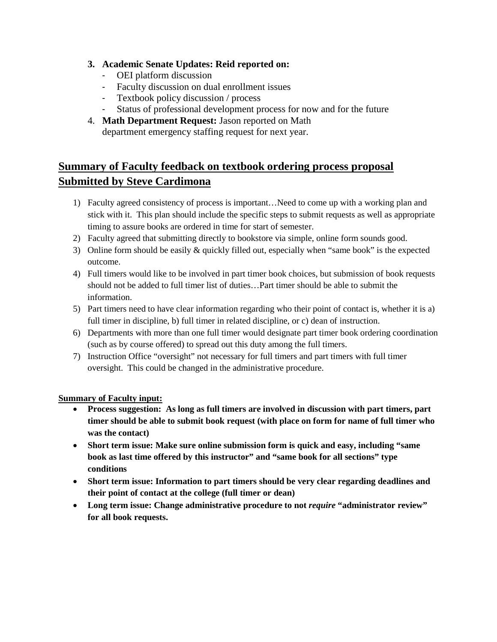# **3. Academic Senate Updates: Reid reported on:**

- OEI platform discussion
- Faculty discussion on dual enrollment issues
- Textbook policy discussion / process<br>- Status of professional development pro
- Status of professional development process for now and for the future
- 4. **Math Department Request:** Jason reported on Math department emergency staffing request for next year.

# **Summary of Faculty feedback on textbook ordering process proposal Submitted by Steve Cardimona**

- 1) Faculty agreed consistency of process is important…Need to come up with a working plan and stick with it. This plan should include the specific steps to submit requests as well as appropriate timing to assure books are ordered in time for start of semester.
- 2) Faculty agreed that submitting directly to bookstore via simple, online form sounds good.
- 3) Online form should be easily & quickly filled out, especially when "same book" is the expected outcome.
- 4) Full timers would like to be involved in part timer book choices, but submission of book requests should not be added to full timer list of duties…Part timer should be able to submit the information.
- 5) Part timers need to have clear information regarding who their point of contact is, whether it is a) full timer in discipline, b) full timer in related discipline, or c) dean of instruction.
- 6) Departments with more than one full timer would designate part timer book ordering coordination (such as by course offered) to spread out this duty among the full timers.
- 7) Instruction Office "oversight" not necessary for full timers and part timers with full timer oversight. This could be changed in the administrative procedure.

# **Summary of Faculty input:**

- **Process suggestion: As long as full timers are involved in discussion with part timers, part timer should be able to submit book request (with place on form for name of full timer who was the contact)**
- **Short term issue: Make sure online submission form is quick and easy, including "same book as last time offered by this instructor" and "same book for all sections" type conditions**
- **Short term issue: Information to part timers should be very clear regarding deadlines and their point of contact at the college (full timer or dean)**
- Long term issue: Change administrative procedure to not *require* "administrator review" **for all book requests.**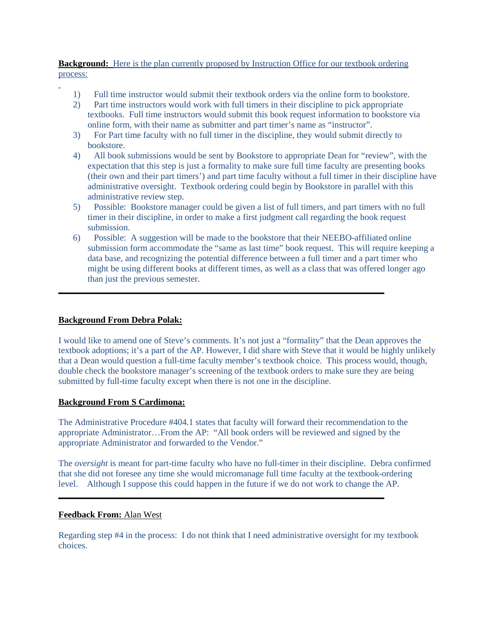### **Background:** Here is the plan currently proposed by Instruction Office for our textbook ordering process:

- 1) Full time instructor would submit their textbook orders via the online form to bookstore.
- 2) Part time instructors would work with full timers in their discipline to pick appropriate textbooks. Full time instructors would submit this book request information to bookstore via online form, with their name as submitter and part timer's name as "instructor".
- 3) For Part time faculty with no full timer in the discipline, they would submit directly to bookstore.
- 4) All book submissions would be sent by Bookstore to appropriate Dean for "review", with the expectation that this step is just a formality to make sure full time faculty are presenting books (their own and their part timers') and part time faculty without a full timer in their discipline have administrative oversight. Textbook ordering could begin by Bookstore in parallel with this administrative review step.
- 5) Possible: Bookstore manager could be given a list of full timers, and part timers with no full timer in their discipline, in order to make a first judgment call regarding the book request submission.
- 6) Possible: A suggestion will be made to the bookstore that their NEEBO-affiliated online submission form accommodate the "same as last time" book request. This will require keeping a data base, and recognizing the potential difference between a full timer and a part timer who might be using different books at different times, as well as a class that was offered longer ago than just the previous semester.

**\_\_\_\_\_\_\_\_\_\_\_\_\_\_\_\_\_\_\_\_\_\_\_\_\_\_\_\_\_\_\_\_\_\_\_\_\_\_\_\_\_\_\_\_\_\_\_\_\_\_\_\_\_\_\_\_\_\_\_\_\_\_\_\_\_\_\_\_\_\_\_\_\_**

### **Background From Debra Polak:**

I would like to amend one of Steve's comments. It's not just a "formality" that the Dean approves the textbook adoptions; it's a part of the AP. However, I did share with Steve that it would be highly unlikely that a Dean would question a full-time faculty member's textbook choice. This process would, though, double check the bookstore manager's screening of the textbook orders to make sure they are being submitted by full-time faculty except when there is not one in the discipline.

### **Background From S Cardimona:**

The Administrative Procedure #404.1 states that faculty will forward their recommendation to the appropriate Administrator…From the AP: "All book orders will be reviewed and signed by the appropriate Administrator and forwarded to the Vendor."

**\_\_\_\_\_\_\_\_\_\_\_\_\_\_\_\_\_\_\_\_\_\_\_\_\_\_\_\_\_\_\_\_\_\_\_\_\_\_\_\_\_\_\_\_\_\_\_\_\_\_\_\_\_\_\_\_\_\_\_\_\_\_\_\_\_\_\_\_\_\_\_\_\_**

The *oversight* is meant for part-time faculty who have no full-timer in their discipline. Debra confirmed that she did not foresee any time she would micromanage full time faculty at the textbook-ordering level. Although I suppose this could happen in the future if we do not work to change the AP.

### **Feedback From:** Alan West

Regarding step #4 in the process: I do not think that I need administrative oversight for my textbook choices.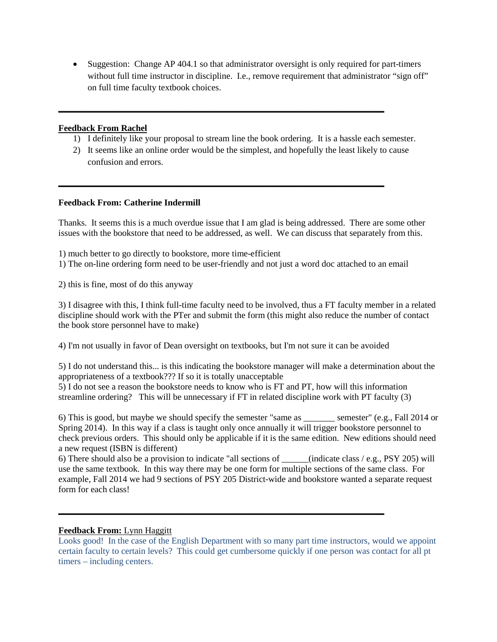• Suggestion: Change AP 404.1 so that administrator oversight is only required for part-timers without full time instructor in discipline. I.e., remove requirement that administrator "sign off" on full time faculty textbook choices.

### **Feedback From Rachel**

- 1) I definitely like your proposal to stream line the book ordering. It is a hassle each semester.
- 2) It seems like an online order would be the simplest, and hopefully the least likely to cause confusion and errors.

**\_\_\_\_\_\_\_\_\_\_\_\_\_\_\_\_\_\_\_\_\_\_\_\_\_\_\_\_\_\_\_\_\_\_\_\_\_\_\_\_\_\_\_\_\_\_\_\_\_\_\_\_\_\_\_\_\_\_\_\_\_\_\_\_\_\_\_\_\_\_\_\_\_**

**\_\_\_\_\_\_\_\_\_\_\_\_\_\_\_\_\_\_\_\_\_\_\_\_\_\_\_\_\_\_\_\_\_\_\_\_\_\_\_\_\_\_\_\_\_\_\_\_\_\_\_\_\_\_\_\_\_\_\_\_\_\_\_\_\_\_\_\_\_\_\_\_\_**

### **Feedback From: Catherine Indermill**

Thanks. It seems this is a much overdue issue that I am glad is being addressed. There are some other issues with the bookstore that need to be addressed, as well. We can discuss that separately from this.

1) much better to go directly to bookstore, more time-efficient

1) The on-line ordering form need to be user-friendly and not just a word doc attached to an email

2) this is fine, most of do this anyway

3) I disagree with this, I think full-time faculty need to be involved, thus a FT faculty member in a related discipline should work with the PTer and submit the form (this might also reduce the number of contact the book store personnel have to make)

4) I'm not usually in favor of Dean oversight on textbooks, but I'm not sure it can be avoided

5) I do not understand this... is this indicating the bookstore manager will make a determination about the appropriateness of a textbook??? If so it is totally unacceptable

5) I do not see a reason the bookstore needs to know who is FT and PT, how will this information streamline ordering? This will be unnecessary if FT in related discipline work with PT faculty (3)

6) This is good, but maybe we should specify the semester "same as \_\_\_\_\_\_\_ semester" (e.g., Fall 2014 or Spring 2014). In this way if a class is taught only once annually it will trigger bookstore personnel to check previous orders. This should only be applicable if it is the same edition. New editions should need a new request (ISBN is different)

6) There should also be a provision to indicate "all sections of \_\_\_\_\_\_(indicate class / e.g., PSY 205) will use the same textbook. In this way there may be one form for multiple sections of the same class. For example, Fall 2014 we had 9 sections of PSY 205 District-wide and bookstore wanted a separate request form for each class!

**\_\_\_\_\_\_\_\_\_\_\_\_\_\_\_\_\_\_\_\_\_\_\_\_\_\_\_\_\_\_\_\_\_\_\_\_\_\_\_\_\_\_\_\_\_\_\_\_\_\_\_\_\_\_\_\_\_\_\_\_\_\_\_\_\_\_\_\_\_\_\_\_\_**

### **Feedback From:** Lynn Haggitt

Looks good! In the case of the English Department with so many part time instructors, would we appoint certain faculty to certain levels? This could get cumbersome quickly if one person was contact for all pt timers – including centers.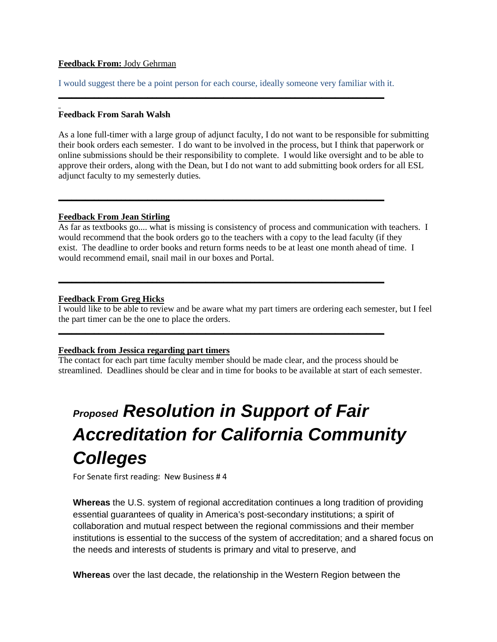### **Feedback From:** Jody Gehrman

I would suggest there be a point person for each course, ideally someone very familiar with it. **\_\_\_\_\_\_\_\_\_\_\_\_\_\_\_\_\_\_\_\_\_\_\_\_\_\_\_\_\_\_\_\_\_\_\_\_\_\_\_\_\_\_\_\_\_\_\_\_\_\_\_\_\_\_\_\_\_\_\_\_\_\_\_\_\_\_\_\_\_\_\_\_\_**

**\_\_\_\_\_\_\_\_\_\_\_\_\_\_\_\_\_\_\_\_\_\_\_\_\_\_\_\_\_\_\_\_\_\_\_\_\_\_\_\_\_\_\_\_\_\_\_\_\_\_\_\_\_\_\_\_\_\_\_\_\_\_\_\_\_\_\_\_\_\_\_\_\_**

**\_\_\_\_\_\_\_\_\_\_\_\_\_\_\_\_\_\_\_\_\_\_\_\_\_\_\_\_\_\_\_\_\_\_\_\_\_\_\_\_\_\_\_\_\_\_\_\_\_\_\_\_\_\_\_\_\_\_\_\_\_\_\_\_\_\_\_\_\_\_\_\_\_**

**\_\_\_\_\_\_\_\_\_\_\_\_\_\_\_\_\_\_\_\_\_\_\_\_\_\_\_\_\_\_\_\_\_\_\_\_\_\_\_\_\_\_\_\_\_\_\_\_\_\_\_\_\_\_\_\_\_\_\_\_\_\_\_\_\_\_\_\_\_\_\_\_\_**

### **Feedback From Sarah Walsh**

As a lone full-timer with a large group of adjunct faculty, I do not want to be responsible for submitting their book orders each semester. I do want to be involved in the process, but I think that paperwork or online submissions should be their responsibility to complete. I would like oversight and to be able to approve their orders, along with the Dean, but I do not want to add submitting book orders for all ESL adjunct faculty to my semesterly duties.

### **Feedback From Jean Stirling**

As far as textbooks go.... what is missing is consistency of process and communication with teachers. I would recommend that the book orders go to the teachers with a copy to the lead faculty (if they exist. The deadline to order books and return forms needs to be at least one month ahead of time. I would recommend email, snail mail in our boxes and Portal.

### **Feedback From Greg Hicks**

I would like to be able to review and be aware what my part timers are ordering each semester, but I feel the part timer can be the one to place the orders.

### **Feedback from Jessica regarding part timers**

The contact for each part time faculty member should be made clear, and the process should be streamlined. Deadlines should be clear and in time for books to be available at start of each semester.

# *Proposed Resolution in Support of Fair Accreditation for California Community Colleges*

For Senate first reading: New Business # 4

**Whereas** the U.S. system of regional accreditation continues a long tradition of providing essential guarantees of quality in America's post-secondary institutions; a spirit of collaboration and mutual respect between the regional commissions and their member institutions is essential to the success of the system of accreditation; and a shared focus on the needs and interests of students is primary and vital to preserve, and

**Whereas** over the last decade, the relationship in the Western Region between the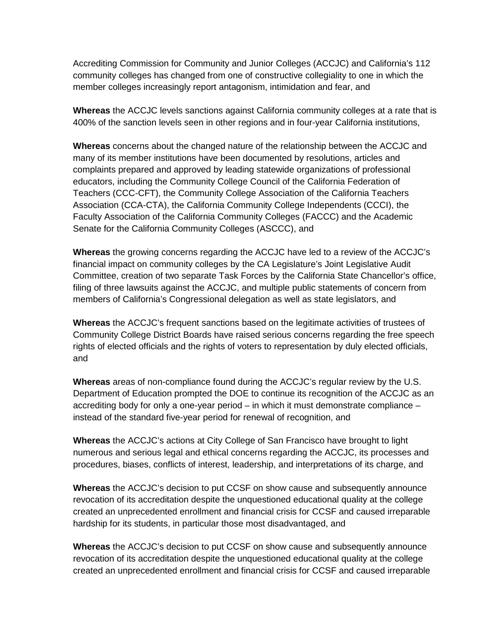Accrediting Commission for Community and Junior Colleges (ACCJC) and California's 112 community colleges has changed from one of constructive collegiality to one in which the member colleges increasingly report antagonism, intimidation and fear, and

**Whereas** the ACCJC levels sanctions against California community colleges at a rate that is 400% of the sanction levels seen in other regions and in four-year California institutions,

**Whereas** concerns about the changed nature of the relationship between the ACCJC and many of its member institutions have been documented by resolutions, articles and complaints prepared and approved by leading statewide organizations of professional educators, including the Community College Council of the California Federation of Teachers (CCC-CFT), the Community College Association of the California Teachers Association (CCA-CTA), the California Community College Independents (CCCI), the Faculty Association of the California Community Colleges (FACCC) and the Academic Senate for the California Community Colleges (ASCCC), and

**Whereas** the growing concerns regarding the ACCJC have led to a review of the ACCJC's financial impact on community colleges by the CA Legislature's Joint Legislative Audit Committee, creation of two separate Task Forces by the California State Chancellor's office, filing of three lawsuits against the ACCJC, and multiple public statements of concern from members of California's Congressional delegation as well as state legislators, and

**Whereas** the ACCJC's frequent sanctions based on the legitimate activities of trustees of Community College District Boards have raised serious concerns regarding the free speech rights of elected officials and the rights of voters to representation by duly elected officials, and

**Whereas** areas of non-compliance found during the ACCJC's regular review by the U.S. Department of Education prompted the DOE to continue its recognition of the ACCJC as an accrediting body for only a one-year period – in which it must demonstrate compliance – instead of the standard five-year period for renewal of recognition, and

**Whereas** the ACCJC's actions at City College of San Francisco have brought to light numerous and serious legal and ethical concerns regarding the ACCJC, its processes and procedures, biases, conflicts of interest, leadership, and interpretations of its charge, and

**Whereas** the ACCJC's decision to put CCSF on show cause and subsequently announce revocation of its accreditation despite the unquestioned educational quality at the college created an unprecedented enrollment and financial crisis for CCSF and caused irreparable hardship for its students, in particular those most disadvantaged, and

**Whereas** the ACCJC's decision to put CCSF on show cause and subsequently announce revocation of its accreditation despite the unquestioned educational quality at the college created an unprecedented enrollment and financial crisis for CCSF and caused irreparable